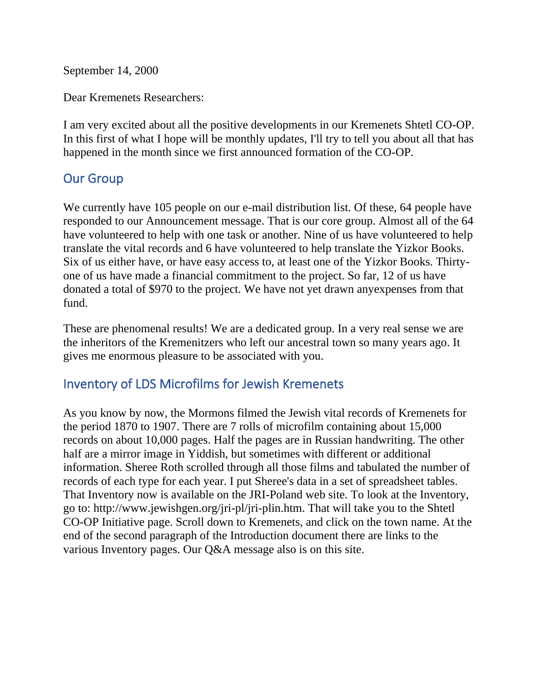September 14, 2000

Dear Kremenets Researchers:

I am very excited about all the positive developments in our Kremenets Shtetl CO-OP. In this first of what I hope will be monthly updates, I'll try to tell you about all that has happened in the month since we first announced formation of the CO-OP.

## Our Group

We currently have 105 people on our e-mail distribution list. Of these, 64 people have responded to our Announcement message. That is our core group. Almost all of the 64 have volunteered to help with one task or another. Nine of us have volunteered to help translate the vital records and 6 have volunteered to help translate the Yizkor Books. Six of us either have, or have easy access to, at least one of the Yizkor Books. Thirtyone of us have made a financial commitment to the project. So far, 12 of us have donated a total of \$970 to the project. We have not yet drawn anyexpenses from that fund.

These are phenomenal results! We are a dedicated group. In a very real sense we are the inheritors of the Kremenitzers who left our ancestral town so many years ago. It gives me enormous pleasure to be associated with you.

## Inventory of LDS Microfilms for Jewish Kremenets

As you know by now, the Mormons filmed the Jewish vital records of Kremenets for the period 1870 to 1907. There are 7 rolls of microfilm containing about 15,000 records on about 10,000 pages. Half the pages are in Russian handwriting. The other half are a mirror image in Yiddish, but sometimes with different or additional information. Sheree Roth scrolled through all those films and tabulated the number of records of each type for each year. I put Sheree's data in a set of spreadsheet tables. That Inventory now is available on the JRI-Poland web site. To look at the Inventory, go to: http://www.jewishgen.org/jri-pl/jri-plin.htm. That will take you to the Shtetl CO-OP Initiative page. Scroll down to Kremenets, and click on the town name. At the end of the second paragraph of the Introduction document there are links to the various Inventory pages. Our Q&A message also is on this site.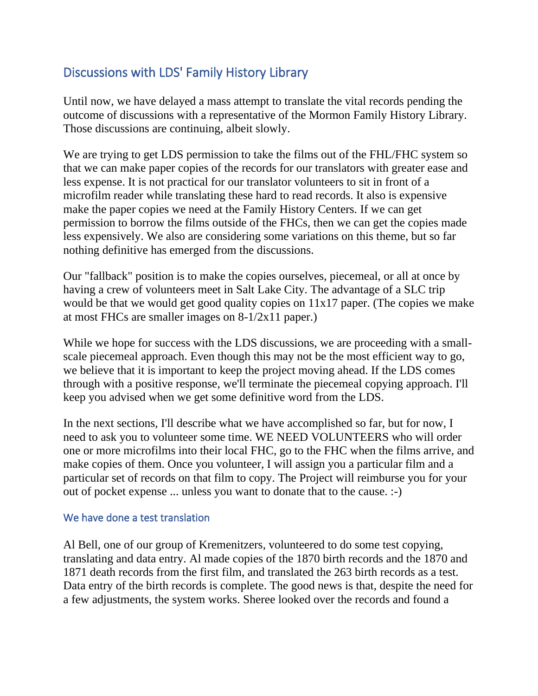# Discussions with LDS' Family History Library

Until now, we have delayed a mass attempt to translate the vital records pending the outcome of discussions with a representative of the Mormon Family History Library. Those discussions are continuing, albeit slowly.

We are trying to get LDS permission to take the films out of the FHL/FHC system so that we can make paper copies of the records for our translators with greater ease and less expense. It is not practical for our translator volunteers to sit in front of a microfilm reader while translating these hard to read records. It also is expensive make the paper copies we need at the Family History Centers. If we can get permission to borrow the films outside of the FHCs, then we can get the copies made less expensively. We also are considering some variations on this theme, but so far nothing definitive has emerged from the discussions.

Our "fallback" position is to make the copies ourselves, piecemeal, or all at once by having a crew of volunteers meet in Salt Lake City. The advantage of a SLC trip would be that we would get good quality copies on  $11x17$  paper. (The copies we make at most FHCs are smaller images on 8-1/2x11 paper.)

While we hope for success with the LDS discussions, we are proceeding with a smallscale piecemeal approach. Even though this may not be the most efficient way to go, we believe that it is important to keep the project moving ahead. If the LDS comes through with a positive response, we'll terminate the piecemeal copying approach. I'll keep you advised when we get some definitive word from the LDS.

In the next sections, I'll describe what we have accomplished so far, but for now, I need to ask you to volunteer some time. WE NEED VOLUNTEERS who will order one or more microfilms into their local FHC, go to the FHC when the films arrive, and make copies of them. Once you volunteer, I will assign you a particular film and a particular set of records on that film to copy. The Project will reimburse you for your out of pocket expense ... unless you want to donate that to the cause. :-)

#### We have done a test translation

Al Bell, one of our group of Kremenitzers, volunteered to do some test copying, translating and data entry. Al made copies of the 1870 birth records and the 1870 and 1871 death records from the first film, and translated the 263 birth records as a test. Data entry of the birth records is complete. The good news is that, despite the need for a few adjustments, the system works. Sheree looked over the records and found a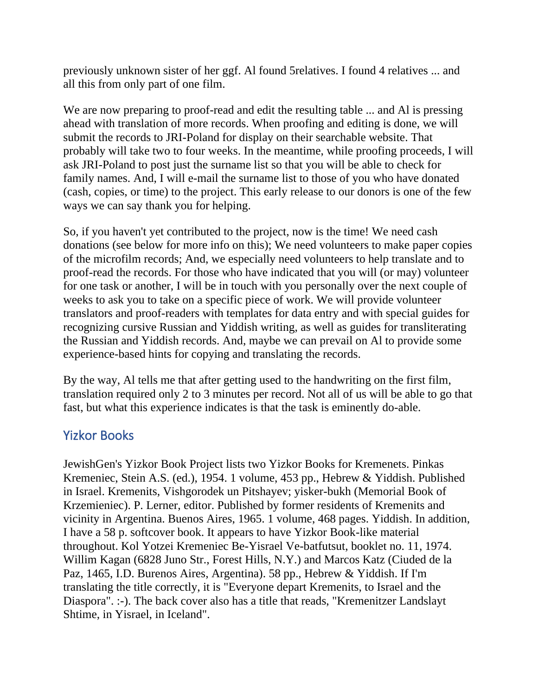previously unknown sister of her ggf. Al found 5relatives. I found 4 relatives ... and all this from only part of one film.

We are now preparing to proof-read and edit the resulting table ... and Al is pressing ahead with translation of more records. When proofing and editing is done, we will submit the records to JRI-Poland for display on their searchable website. That probably will take two to four weeks. In the meantime, while proofing proceeds, I will ask JRI-Poland to post just the surname list so that you will be able to check for family names. And, I will e-mail the surname list to those of you who have donated (cash, copies, or time) to the project. This early release to our donors is one of the few ways we can say thank you for helping.

So, if you haven't yet contributed to the project, now is the time! We need cash donations (see below for more info on this); We need volunteers to make paper copies of the microfilm records; And, we especially need volunteers to help translate and to proof-read the records. For those who have indicated that you will (or may) volunteer for one task or another, I will be in touch with you personally over the next couple of weeks to ask you to take on a specific piece of work. We will provide volunteer translators and proof-readers with templates for data entry and with special guides for recognizing cursive Russian and Yiddish writing, as well as guides for transliterating the Russian and Yiddish records. And, maybe we can prevail on Al to provide some experience-based hints for copying and translating the records.

By the way, Al tells me that after getting used to the handwriting on the first film, translation required only 2 to 3 minutes per record. Not all of us will be able to go that fast, but what this experience indicates is that the task is eminently do-able.

## Yizkor Books

JewishGen's Yizkor Book Project lists two Yizkor Books for Kremenets. Pinkas Kremeniec, Stein A.S. (ed.), 1954. 1 volume, 453 pp., Hebrew & Yiddish. Published in Israel. Kremenits, Vishgorodek un Pitshayev; yisker-bukh (Memorial Book of Krzemieniec). P. Lerner, editor. Published by former residents of Kremenits and vicinity in Argentina. Buenos Aires, 1965. 1 volume, 468 pages. Yiddish. In addition, I have a 58 p. softcover book. It appears to have Yizkor Book-like material throughout. Kol Yotzei Kremeniec Be-Yisrael Ve-batfutsut, booklet no. 11, 1974. Willim Kagan (6828 Juno Str., Forest Hills, N.Y.) and Marcos Katz (Ciuded de la Paz, 1465, I.D. Burenos Aires, Argentina). 58 pp., Hebrew & Yiddish. If I'm translating the title correctly, it is "Everyone depart Kremenits, to Israel and the Diaspora". :-). The back cover also has a title that reads, "Kremenitzer Landslayt Shtime, in Yisrael, in Iceland".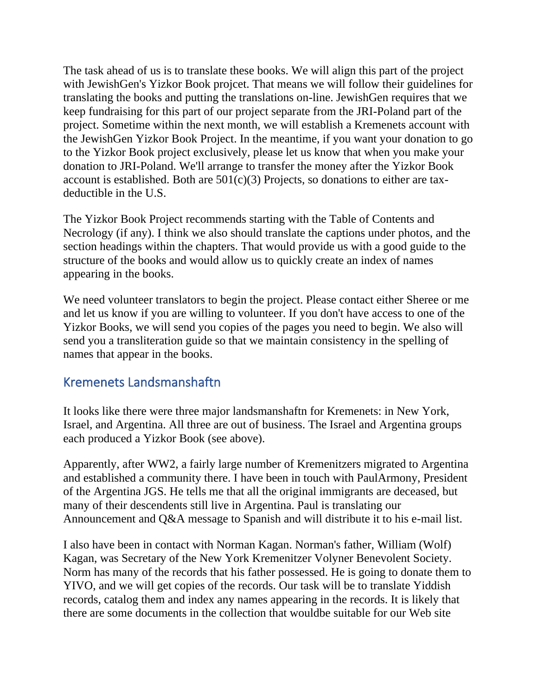The task ahead of us is to translate these books. We will align this part of the project with JewishGen's Yizkor Book projcet. That means we will follow their guidelines for translating the books and putting the translations on-line. JewishGen requires that we keep fundraising for this part of our project separate from the JRI-Poland part of the project. Sometime within the next month, we will establish a Kremenets account with the JewishGen Yizkor Book Project. In the meantime, if you want your donation to go to the Yizkor Book project exclusively, please let us know that when you make your donation to JRI-Poland. We'll arrange to transfer the money after the Yizkor Book account is established. Both are  $501(c)(3)$  Projects, so donations to either are taxdeductible in the U.S.

The Yizkor Book Project recommends starting with the Table of Contents and Necrology (if any). I think we also should translate the captions under photos, and the section headings within the chapters. That would provide us with a good guide to the structure of the books and would allow us to quickly create an index of names appearing in the books.

We need volunteer translators to begin the project. Please contact either Sheree or me and let us know if you are willing to volunteer. If you don't have access to one of the Yizkor Books, we will send you copies of the pages you need to begin. We also will send you a transliteration guide so that we maintain consistency in the spelling of names that appear in the books.

## Kremenets Landsmanshaftn

It looks like there were three major landsmanshaftn for Kremenets: in New York, Israel, and Argentina. All three are out of business. The Israel and Argentina groups each produced a Yizkor Book (see above).

Apparently, after WW2, a fairly large number of Kremenitzers migrated to Argentina and established a community there. I have been in touch with PaulArmony, President of the Argentina JGS. He tells me that all the original immigrants are deceased, but many of their descendents still live in Argentina. Paul is translating our Announcement and Q&A message to Spanish and will distribute it to his e-mail list.

I also have been in contact with Norman Kagan. Norman's father, William (Wolf) Kagan, was Secretary of the New York Kremenitzer Volyner Benevolent Society. Norm has many of the records that his father possessed. He is going to donate them to YIVO, and we will get copies of the records. Our task will be to translate Yiddish records, catalog them and index any names appearing in the records. It is likely that there are some documents in the collection that wouldbe suitable for our Web site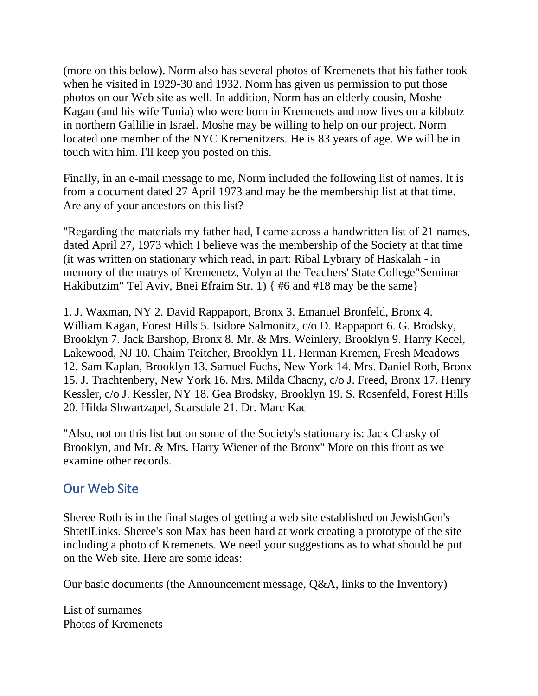(more on this below). Norm also has several photos of Kremenets that his father took when he visited in 1929-30 and 1932. Norm has given us permission to put those photos on our Web site as well. In addition, Norm has an elderly cousin, Moshe Kagan (and his wife Tunia) who were born in Kremenets and now lives on a kibbutz in northern Gallilie in Israel. Moshe may be willing to help on our project. Norm located one member of the NYC Kremenitzers. He is 83 years of age. We will be in touch with him. I'll keep you posted on this.

Finally, in an e-mail message to me, Norm included the following list of names. It is from a document dated 27 April 1973 and may be the membership list at that time. Are any of your ancestors on this list?

"Regarding the materials my father had, I came across a handwritten list of 21 names, dated April 27, 1973 which I believe was the membership of the Society at that time (it was written on stationary which read, in part: Ribal Lybrary of Haskalah - in memory of the matrys of Kremenetz, Volyn at the Teachers' State College"Seminar Hakibutzim" Tel Aviv, Bnei Efraim Str. 1) { #6 and #18 may be the same}

1. J. Waxman, NY 2. David Rappaport, Bronx 3. Emanuel Bronfeld, Bronx 4. William Kagan, Forest Hills 5. Isidore Salmonitz, c/o D. Rappaport 6. G. Brodsky, Brooklyn 7. Jack Barshop, Bronx 8. Mr. & Mrs. Weinlery, Brooklyn 9. Harry Kecel, Lakewood, NJ 10. Chaim Teitcher, Brooklyn 11. Herman Kremen, Fresh Meadows 12. Sam Kaplan, Brooklyn 13. Samuel Fuchs, New York 14. Mrs. Daniel Roth, Bronx 15. J. Trachtenbery, New York 16. Mrs. Milda Chacny, c/o J. Freed, Bronx 17. Henry Kessler, c/o J. Kessler, NY 18. Gea Brodsky, Brooklyn 19. S. Rosenfeld, Forest Hills 20. Hilda Shwartzapel, Scarsdale 21. Dr. Marc Kac

"Also, not on this list but on some of the Society's stationary is: Jack Chasky of Brooklyn, and Mr. & Mrs. Harry Wiener of the Bronx" More on this front as we examine other records.

## Our Web Site

Sheree Roth is in the final stages of getting a web site established on JewishGen's ShtetlLinks. Sheree's son Max has been hard at work creating a prototype of the site including a photo of Kremenets. We need your suggestions as to what should be put on the Web site. Here are some ideas:

Our basic documents (the Announcement message, Q&A, links to the Inventory)

List of surnames Photos of Kremenets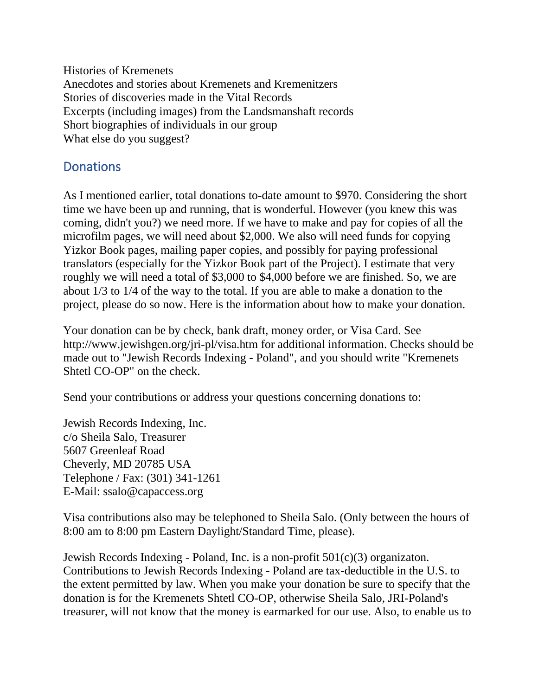Histories of Kremenets Anecdotes and stories about Kremenets and Kremenitzers Stories of discoveries made in the Vital Records Excerpts (including images) from the Landsmanshaft records Short biographies of individuals in our group What else do you suggest?

## **Donations**

As I mentioned earlier, total donations to-date amount to \$970. Considering the short time we have been up and running, that is wonderful. However (you knew this was coming, didn't you?) we need more. If we have to make and pay for copies of all the microfilm pages, we will need about \$2,000. We also will need funds for copying Yizkor Book pages, mailing paper copies, and possibly for paying professional translators (especially for the Yizkor Book part of the Project). I estimate that very roughly we will need a total of \$3,000 to \$4,000 before we are finished. So, we are about 1/3 to 1/4 of the way to the total. If you are able to make a donation to the project, please do so now. Here is the information about how to make your donation.

Your donation can be by check, bank draft, money order, or Visa Card. See http://www.jewishgen.org/jri-pl/visa.htm for additional information. Checks should be made out to "Jewish Records Indexing - Poland", and you should write "Kremenets Shtetl CO-OP" on the check.

Send your contributions or address your questions concerning donations to:

Jewish Records Indexing, Inc. c/o Sheila Salo, Treasurer 5607 Greenleaf Road Cheverly, MD 20785 USA Telephone / Fax: (301) 341-1261 E-Mail: ssalo@capaccess.org

Visa contributions also may be telephoned to Sheila Salo. (Only between the hours of 8:00 am to 8:00 pm Eastern Daylight/Standard Time, please).

Jewish Records Indexing - Poland, Inc. is a non-profit 501(c)(3) organizaton. Contributions to Jewish Records Indexing - Poland are tax-deductible in the U.S. to the extent permitted by law. When you make your donation be sure to specify that the donation is for the Kremenets Shtetl CO-OP, otherwise Sheila Salo, JRI-Poland's treasurer, will not know that the money is earmarked for our use. Also, to enable us to